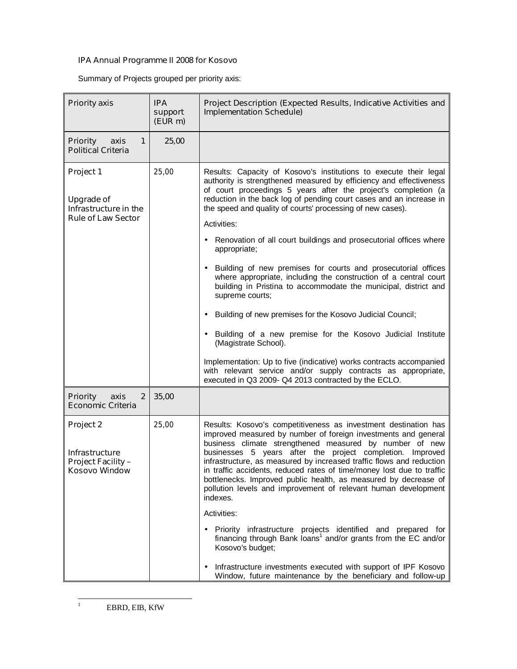## **IPA Annual Programme II 2008 for Kosovo**

Summary of Projects grouped per priority axis:

| <b>Priority axis</b>                                                                 | <b>IPA</b><br>support<br>(EUR m) | Project Description (Expected Results, Indicative Activities and<br><b>Implementation Schedule)</b>                                                                                                                                                                                                                                                                                                                                                                                                                                                                                                                                                                                                                                                                                                                                                                                                                                                                                                                                                           |
|--------------------------------------------------------------------------------------|----------------------------------|---------------------------------------------------------------------------------------------------------------------------------------------------------------------------------------------------------------------------------------------------------------------------------------------------------------------------------------------------------------------------------------------------------------------------------------------------------------------------------------------------------------------------------------------------------------------------------------------------------------------------------------------------------------------------------------------------------------------------------------------------------------------------------------------------------------------------------------------------------------------------------------------------------------------------------------------------------------------------------------------------------------------------------------------------------------|
| <b>Priority</b><br>axis<br>1<br><b>Political Criteria</b>                            | 25,00                            |                                                                                                                                                                                                                                                                                                                                                                                                                                                                                                                                                                                                                                                                                                                                                                                                                                                                                                                                                                                                                                                               |
| Project 1<br><b>Upgrade of</b><br>Infrastructure in the<br><b>Rule of Law Sector</b> | 25,00                            | Results: Capacity of Kosovo's institutions to execute their legal<br>authority is strengthened measured by efficiency and effectiveness<br>of court proceedings 5 years after the project's completion (a<br>reduction in the back log of pending court cases and an increase in<br>the speed and quality of courts' processing of new cases).<br>Activities:<br>Renovation of all court buildings and prosecutorial offices where<br>$\bullet$<br>appropriate;<br>Building of new premises for courts and prosecutorial offices<br>where appropriate, including the construction of a central court<br>building in Pristina to accommodate the municipal, district and<br>supreme courts;<br>Building of new premises for the Kosovo Judicial Council;<br>$\bullet$<br>• Building of a new premise for the Kosovo Judicial Institute<br>(Magistrate School).<br>Implementation: Up to five (indicative) works contracts accompanied<br>with relevant service and/or supply contracts as appropriate,<br>executed in Q3 2009- Q4 2013 contracted by the ECLO. |
| <b>Priority</b><br>axis<br>$\mathbf{2}$<br><b>Economic Criteria</b>                  | 35,00                            |                                                                                                                                                                                                                                                                                                                                                                                                                                                                                                                                                                                                                                                                                                                                                                                                                                                                                                                                                                                                                                                               |
| Project 2<br><b>Infrastructure</b><br><b>Project Facility-</b><br>Kosovo Window      | 25,00                            | Results: Kosovo's competitiveness as investment destination has<br>improved measured by number of foreign investments and general<br>business climate strengthened measured by number of new<br>businesses 5 years after the project completion. Improved<br>infrastructure, as measured by increased traffic flows and reduction<br>in traffic accidents, reduced rates of time/money lost due to traffic<br>bottlenecks. Improved public health, as measured by decrease of<br>pollution levels and improvement of relevant human development<br>indexes.<br>Activities:<br>Priority infrastructure projects identified and prepared for<br>financing through Bank loans <sup>1</sup> and/or grants from the EC and/or<br>Kosovo's budget;<br>Infrastructure investments executed with support of IPF Kosovo<br>Window, future maintenance by the beneficiary and follow-up                                                                                                                                                                                 |